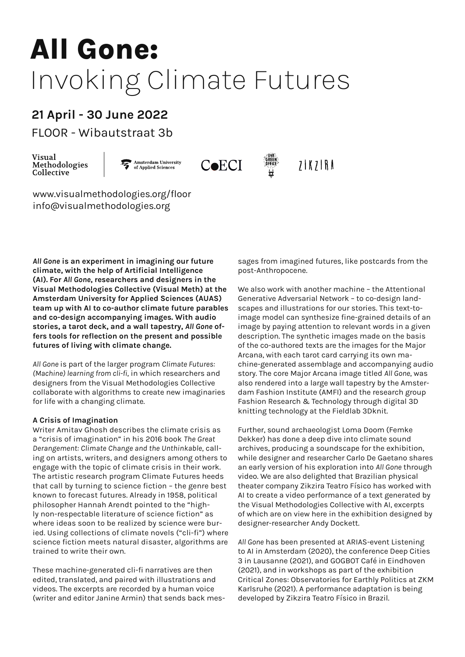## **All Gone:** Invoking Climate Futures

#### **21 April - 30 June 2022**

FLOOR - Wibautstraat 3b

Visual Methodologies Collective

Amsterdam University<br>of Applied Sciences



 $7$  $K$  $7$  $R$  $A$ 

, UVA<br>Green<br>Office

www.visualmethodologies.org/floor info@visualmethodologies.org

All Gone is an experiment in imagining our future sages from imagined futures, like postcards from all good and turning our future and turning in the set of the set of the set of the set of the set of the set of the set of **the science of collections of collections of clients in the collections of clients of clients and designers in the** <br>(AI). For All Gone, researchers and designers in the **Visual Methodologies Collective (Visual Meth) at the** We also work with another machine - the **Amsterdam University for Annlied Sciences (AUAS)** Generative Adversarial Network - to co-d team up with AI to co-author climate future parables scapes and illustrations for our stories. This and co-design accompanying images. With additional image model can synthesize in<br>**stories, a tarot deck, and a wall tapestry, All Gone of-** image by paying attention to re **climate, with the help of Artificial Intelligence Amsterdam University for Applied Sciences (AUAS) and co-design accompanying images. With audio fers tools for reflection on the present and possible futures of living with climate change.**

Methodologies Collective at the Amsterdam University of Applied *(Machine) learning from cli-fi*, in which researchers and designers from the Visual Methodologies Collective also rendered into a large wall tap parabolate with algorithms to cleate fiew imaginances and in ashion mistrate (AMH) and the research groes for life with a changing climate. Fashion Research & Technology through digital 3D *All Gone* is part of the larger program *Climate Futures:*  collaborate with algorithms to create new imaginaries for life with a changing climate.

#### **A Crisis of Imagination**

Writer Amitav Ghosh describes the climate crisis as Further, sound archaeologist Loma Doom (Fe a crisis of magmation in his zolo book me dreat<br>Derangement: Climate Change and the Unthinkable, call- archives, producing a soundscape for the exhibi ing on artists, writers, and designers among others to<br>anded with the tenie of elimete arisis in their work that call by turning to science fiction – the genre best — theater company Zikzira leatro Fisico ha<br>known to forecast futures. Already in 1958, political — — Al to create a video performance of a text philosopher Hannah Arendt pointed to the "high-<br>philosopher Hannah Arendt pointed to the "high-<br>from the Visual Methodologies Collective with Al, more respectable including of science netion as and or where are on view here in the exhibition where ideas soon to be realized by science were bur-<br>designer-researcher Andy Dockett. ied. Using collections of climate novels ("cli-fi") where<br>science fiction meets natural disaster algorithms are all Gone has been presented at APIAS-event a "crisis of imagination" in his 2016 book *The Great*  engage with the topic of climate crisis in their work. The artistic research program Climate Futures heeds that call by turning to science fiction – the genre best ly non-respectable literature of science fiction" as science fiction meets natural disaster, algorithms are trained to write their own.

*Futures* is kindly supported by CoECI, Centre of Expertise for These machine-generated cli-fi narratives are then edited, translated, and paired with illustrations and Critical Zones: Observatories for Earthly Politic<br>
Critical Zones: Observatories for Earthly Politic with Amsterdam Fashion Institute (AMFI) and the research group of the research group and the research group (writer and editor Janine Armin) that sends back mes-<br>developed by Zikzira Teatro Físico in Brazil. videos. The excerpts are recorded by a human voice

sages from imagined futures, like postcards from the post-Anthropocene.

In this experiment research research and designers and designers in the Visual Arcana, with each tarot card carrying its own maknitting technology at the Fieldlab 3Dknit.<br>
A Crisis of Imagination We also work with another machine – the Attentional Generative Adversarial Network – to co-design landscapes and illustrations for our stories. This text-toimage model can synthesize fine-grained details of an image by paying attention to relevant words in a given description. The synthetic images made on the basis of the co-authored texts are the images for the Major chine-generated assemblage and accompanying audio story. The core Major Arcana image titled *All Gone*, was also rendered into a large wall tapestry by the Amsterdam Fashion Institute (AMFI) and the research group

> Further, sound archaeologist Loma Doom (Femke Dekker) has done a deep dive into climate sound archives, producing a soundscape for the exhibition, while designer and researcher Carlo De Gaetano shares an early version of his exploration into *All Gone* through video. We are also delighted that Brazilian physical theater company Zikzira Teatro Físico has worked with AI to create a video performance of a text generated by the Visual Methodologies Collective with AI, excerpts of which are on view here in the exhibition designed by designer-researcher Andy Dockett.

trained to write their own. **Commission Cities** to AI in Amsterdam (2020), the conference Deep Cities *All Gone* has been presented at ARIAS-event Listening 3 in Lausanne (2021), and GOGBOT Café in Eindhoven (2021), and in workshops as part of the exhibition Critical Zones: Observatories for Earthly Politics at ZKM Karlsruhe (2021). A performance adaptation is being developed by Zikzira Teatro Físico in Brazil.